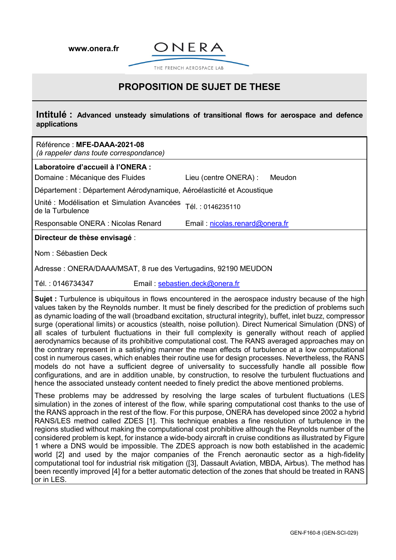**[www.onera.fr](http://www.onera.fr/)**



THE FRENCH AEROSPACE LAB

## **PROPOSITION DE SUJET DE THESE**

**Intitulé : Advanced unsteady simulations of transitional flows for aerospace and defence applications**

| Référence : MFE-DAAA-2021-08<br>(à rappeler dans toute correspondance) |                                 |
|------------------------------------------------------------------------|---------------------------------|
| Laboratoire d'accueil à l'ONERA :<br>Domaine : Mécanique des Fluides   | Lieu (centre ONERA) :<br>Meudon |
| Département : Département Aérodynamique, Aéroélasticité et Acoustique  |                                 |
| Unité : Modélisation et Simulation Avancées<br>de la Turbulence        | Tél.: 0146235110                |
| Responsable ONERA : Nicolas Renard                                     | Email: nicolas.renard@onera.fr  |
| Directeur de thèse envisagé :                                          |                                 |
| Nom : Sébastien Deck                                                   |                                 |
| Adresse: ONERA/DAAA/MSAT, 8 rue des Vertugadins, 92190 MEUDON          |                                 |

Tél. : 0146734347 Email : [sebastien.deck@onera.fr](mailto:sebastien.deck@onera.fr)

**Sujet** : Turbulence is ubiquitous in flows encountered in the aerospace industry because of the high values taken by the Reynolds number. It must be finely described for the prediction of problems such as dynamic loading of the wall (broadband excitation, structural integrity), buffet, inlet buzz, compressor surge (operational limits) or acoustics (stealth, noise pollution). Direct Numerical Simulation (DNS) of all scales of turbulent fluctuations in their full complexity is generally without reach of applied aerodynamics because of its prohibitive computational cost. The RANS averaged approaches may on the contrary represent in a satisfying manner the mean effects of turbulence at a low computational cost in numerous cases, which enables their routine use for design processes. Nevertheless, the RANS models do not have a sufficient degree of universality to successfully handle all possible flow configurations, and are in addition unable, by construction, to resolve the turbulent fluctuations and hence the associated unsteady content needed to finely predict the above mentioned problems.

These problems may be addressed by resolving the large scales of turbulent fluctuations (LES simulation) in the zones of interest of the flow, while sparing computational cost thanks to the use of the RANS approach in the rest of the flow. For this purpose, ONERA has developed since 2002 a hybrid RANS/LES method called ZDES [1]. This technique enables a fine resolution of turbulence in the regions studied without making the computational cost prohibitive although the Reynolds number of the considered problem is kept, for instance a wide-body aircraft in cruise conditions as illustrated by Figure 1 where a DNS would be impossible. The ZDES approach is now both established in the academic world [2] and used by the major companies of the French aeronautic sector as a high-fidelity computational tool for industrial risk mitigation ([3], Dassault Aviation, MBDA, Airbus). The method has been recently improved [4] for a better automatic detection of the zones that should be treated in RANS or in LES.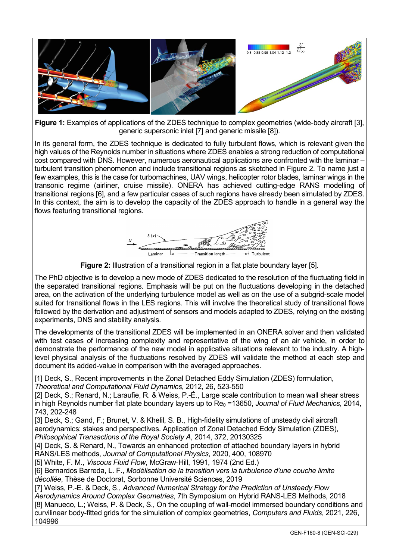

**Figure 1:** Examples of applications of the ZDES technique to complex geometries (wide-body aircraft [3], generic supersonic inlet [7] and generic missile [8]).

In its general form, the ZDES technique is dedicated to fully turbulent flows, which is relevant given the high values of the Reynolds number in situations where ZDES enables a strong reduction of computational cost compared with DNS. However, numerous aeronautical applications are confronted with the laminar – turbulent transition phenomenon and include transitional regions as sketched in Figure 2. To name just a few examples, this is the case for turbomachines, UAV wings, helicopter rotor blades, laminar wings in the transonic regime (airliner, cruise missile). ONERA has achieved cutting-edge RANS modelling of transitional regions [6], and a few particular cases of such regions have already been simulated by ZDES. In this context, the aim is to develop the capacity of the ZDES approach to handle in a general way the flows featuring transitional regions.



**Figure 2:** Illustration of a transitional region in a flat plate boundary layer [5].

The PhD objective is to develop a new mode of ZDES dedicated to the resolution of the fluctuating field in the separated transitional regions. Emphasis will be put on the fluctuations developing in the detached area, on the activation of the underlying turbulence model as well as on the use of a subgrid-scale model suited for transitional flows in the LES regions. This will involve the theoretical study of transitional flows followed by the derivation and adjustment of sensors and models adapted to ZDES, relying on the existing experiments, DNS and stability analysis.

The developments of the transitional ZDES will be implemented in an ONERA solver and then validated with test cases of increasing complexity and representative of the wing of an air vehicle, in order to demonstrate the performance of the new model in applicative situations relevant to the industry. A highlevel physical analysis of the fluctuations resolved by ZDES will validate the method at each step and document its added-value in comparison with the averaged approaches.

[1] Deck, S., Recent improvements in the Zonal Detached Eddy Simulation (ZDES) formulation,

*Theoretical and Computational Fluid Dynamics*, 2012, 26, 523-550

[2] Deck, S.; Renard, N.; Laraufie, R. & Weiss, P.-É., Large scale contribution to mean wall shear stress in high Reynolds number flat plate boundary layers up to Re<sub>0</sub> =13650, *Journal of Fluid Mechanics*, 2014, 743, 202-248

[3] Deck, S.; Gand, F.; Brunet, V. & Khelil, S. B., High-fidelity simulations of unsteady civil aircraft aerodynamics: stakes and perspectives. Application of Zonal Detached Eddy Simulation (ZDES), *Philosophical Transactions of the Royal Society A*, 2014, 372, 20130325

[4] Deck, S. & Renard, N., Towards an enhanced protection of attached boundary layers in hybrid RANS/LES methods, *Journal of Computational Physics*, 2020, 400, 108970

[5] White, F. M., *Viscous Fluid Flow*, McGraw-Hill, 1991, 1974 (2nd Ed.)

[6] Bernardos Barreda, L. F., *Modélisation de la transition vers la turbulence d'une couche limite décollée*, Thèse de Doctorat, Sorbonne Université Sciences, 2019

[7] Weiss, P.-E. & Deck, S., *Advanced Numerical Strategy for the Prediction of Unsteady Flow* 

*Aerodynamics Around Complex Geometries*, 7th Symposium on Hybrid RANS-LES Methods, 2018 [8] Manueco, L.; Weiss, P. & Deck, S., On the coupling of wall-model immersed boundary conditions and curvilinear body-fitted grids for the simulation of complex geometries, *Computers and Fluids*, 2021, 226, 104996